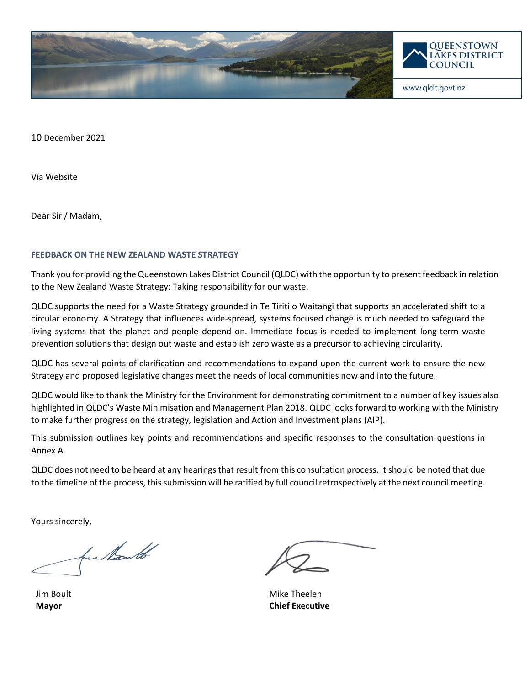

10 December 2021

Via Website

Dear Sir / Madam,

#### **FEEDBACK ON THE NEW ZEALAND WASTE STRATEGY**

Thank you for providing the Queenstown Lakes District Council (QLDC) with the opportunity to present feedback in relation to the New Zealand Waste Strategy: Taking responsibility for our waste.

QLDC supports the need for a Waste Strategy grounded in Te Tiriti o Waitangi that supports an accelerated shift to a circular economy. A Strategy that influences wide-spread, systems focused change is much needed to safeguard the living systems that the planet and people depend on. Immediate focus is needed to implement long-term waste prevention solutions that design out waste and establish zero waste as a precursor to achieving circularity.

QLDC has several points of clarification and recommendations to expand upon the current work to ensure the new Strategy and proposed legislative changes meet the needs of local communities now and into the future.

QLDC would like to thank the Ministry for the Environment for demonstrating commitment to a number of key issues also highlighted in QLDC's Waste Minimisation and Management Plan 2018. QLDC looks forward to working with the Ministry to make further progress on the strategy, legislation and Action and Investment plans (AIP).

This submission outlines key points and recommendations and specific responses to the consultation questions in Annex A.

QLDC does not need to be heard at any hearings that result from this consultation process. It should be noted that due to the timeline of the process, this submission will be ratified by full council retrospectively at the next council meeting.

Yours sincerely,

fun Nouth

Jim Boult **Mayor**

Mike Theelen **Chief Executive**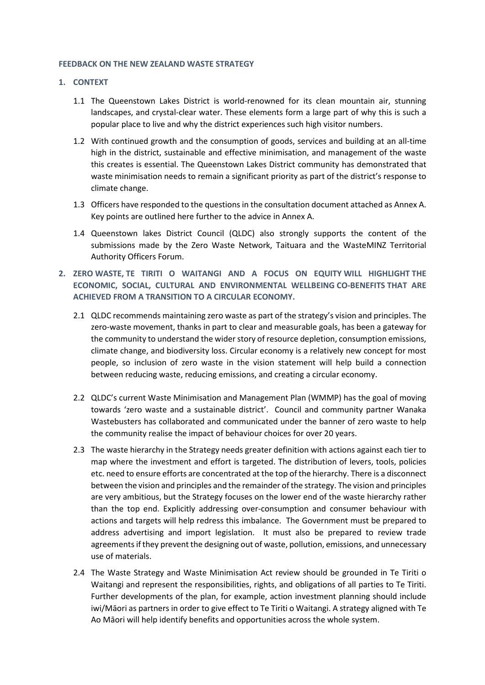#### **FEEDBACK ON THE NEW ZEALAND WASTE STRATEGY**

#### **1. CONTEXT**

- 1.1 The Queenstown Lakes District is world-renowned for its clean mountain air, stunning landscapes, and crystal-clear water. These elements form a large part of why this is such a popular place to live and why the district experiences such high visitor numbers.
- 1.2 With continued growth and the consumption of goods, services and building at an all-time high in the district, sustainable and effective minimisation, and management of the waste this creates is essential. The Queenstown Lakes District community has demonstrated that waste minimisation needs to remain a significant priority as part of the district's response to climate change.
- 1.3 Officers have responded to the questions in the consultation document attached as Annex A. Key points are outlined here further to the advice in Annex A.
- 1.4 Queenstown lakes District Council (QLDC) also strongly supports the content of the submissions made by the Zero Waste Network, Taituara and the WasteMINZ Territorial Authority Officers Forum.
- **2. ZERO WASTE, TE TIRITI O WAITANGI AND A FOCUS ON EQUITY WILL HIGHLIGHT THE ECONOMIC, SOCIAL, CULTURAL AND ENVIRONMENTAL WELLBEING CO-BENEFITS THAT ARE ACHIEVED FROM A TRANSITION TO A CIRCULAR ECONOMY.**
	- 2.1 QLDC recommends maintaining zero waste as part of the strategy's vision and principles. The zero-waste movement, thanks in part to clear and measurable goals, has been a gateway for the community to understand the wider story of resource depletion, consumption emissions, climate change, and biodiversity loss. Circular economy is a relatively new concept for most people, so inclusion of zero waste in the vision statement will help build a connection between reducing waste, reducing emissions, and creating a circular economy.
	- 2.2 QLDC's current Waste Minimisation and Management Plan (WMMP) has the goal of moving towards 'zero waste and a sustainable district'. Council and community partner Wanaka Wastebusters has collaborated and communicated under the banner of zero waste to help the community realise the impact of behaviour choices for over 20 years.
	- 2.3 The waste hierarchy in the Strategy needs greater definition with actions against each tier to map where the investment and effort is targeted. The distribution of levers, tools, policies etc. need to ensure efforts are concentrated at the top of the hierarchy. There is a disconnect between the vision and principles and the remainder of the strategy. The vision and principles are very ambitious, but the Strategy focuses on the lower end of the waste hierarchy rather than the top end. Explicitly addressing over-consumption and consumer behaviour with actions and targets will help redress this imbalance. The Government must be prepared to address advertising and import legislation. It must also be prepared to review trade agreements if they prevent the designing out of waste, pollution, emissions, and unnecessary use of materials.
	- 2.4 The Waste Strategy and Waste Minimisation Act review should be grounded in Te Tiriti o Waitangi and represent the responsibilities, rights, and obligations of all parties to Te Tiriti. Further developments of the plan, for example, action investment planning should include iwi/Māori as partners in order to give effect to Te Tiriti o Waitangi. A strategy aligned with Te Ao Māori will help identify benefits and opportunities across the whole system.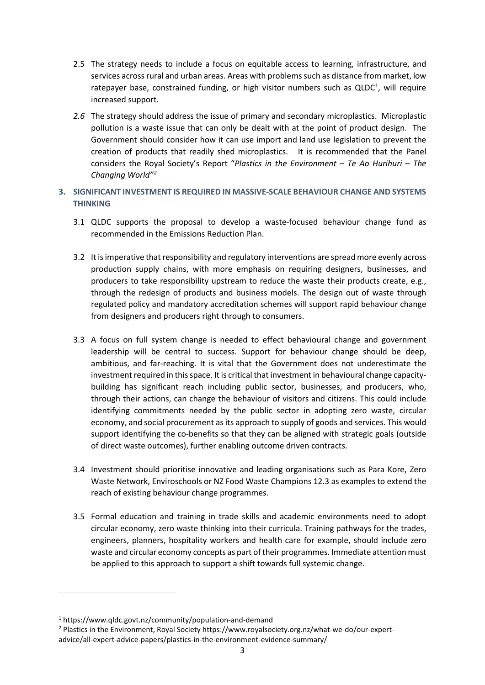- 2.5 The strategy needs to include a focus on equitable access to learning, infrastructure, and services across rural and urban areas. Areas with problems such as distance from market, low ratepayer base, constrained funding, or high visitor numbers such as  $QLDC<sup>1</sup>$  $QLDC<sup>1</sup>$  $QLDC<sup>1</sup>$ , will require increased support.
- *2.6* The strategy should address the issue of primary and secondary microplastics. Microplastic pollution is a waste issue that can only be dealt with at the point of product design. The Government should consider how it can use import and land use legislation to prevent the creation of products that readily shed microplastics. It is recommended that the Panel considers the Royal Society's Report "*Plastics in the Environment – Te Ao Hurihuri – The Changing World"[2](#page-2-1)*
- **3. SIGNIFICANT INVESTMENT IS REQUIRED IN MASSIVE-SCALE BEHAVIOUR CHANGE AND SYSTEMS THINKING** 
	- 3.1 QLDC supports the proposal to develop a waste-focused behaviour change fund as recommended in the Emissions Reduction Plan.
	- 3.2 It is imperative that responsibility and regulatory interventions are spread more evenly across production supply chains, with more emphasis on requiring designers, businesses, and producers to take responsibility upstream to reduce the waste their products create, e.g., through the redesign of products and business models. The design out of waste through regulated policy and mandatory accreditation schemes will support rapid behaviour change from designers and producers right through to consumers.
	- 3.3 A focus on full system change is needed to effect behavioural change and government leadership will be central to success. Support for behaviour change should be deep, ambitious, and far-reaching. It is vital that the Government does not underestimate the investment required in this space. It is critical that investment in behavioural change capacitybuilding has significant reach including public sector, businesses, and producers, who, through their actions, can change the behaviour of visitors and citizens. This could include identifying commitments needed by the public sector in adopting zero waste, circular economy, and social procurement as its approach to supply of goods and services. This would support identifying the co-benefits so that they can be aligned with strategic goals (outside of direct waste outcomes), further enabling outcome driven contracts.
	- 3.4 Investment should prioritise innovative and leading organisations such as Para Kore, Zero Waste Network, Enviroschools or NZ Food Waste Champions 12.3 as examples to extend the reach of existing behaviour change programmes.
	- 3.5 Formal education and training in trade skills and academic environments need to adopt circular economy, zero waste thinking into their curricula. Training pathways for the trades, engineers, planners, hospitality workers and health care for example, should include zero waste and circular economy concepts as part of their programmes. Immediate attention must be applied to this approach to support a shift towards full systemic change.

<span id="page-2-0"></span><sup>1</sup> https://www.qldc.govt.nz/community/population-and-demand

<span id="page-2-1"></span><sup>&</sup>lt;sup>2</sup> Plastics in the Environment, Royal Society https://www.royalsociety.org.nz/what-we-do/our-expertadvice/all-expert-advice-papers/plastics-in-the-environment-evidence-summary/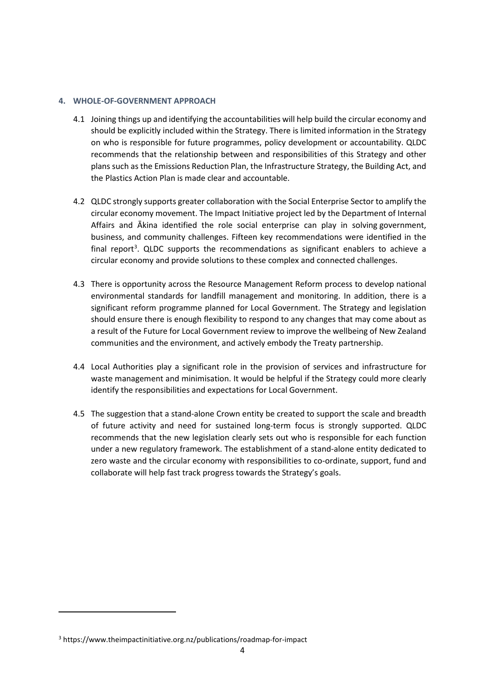#### **4. WHOLE-OF-GOVERNMENT APPROACH**

- 4.1 Joining things up and identifying the accountabilities will help build the circular economy and should be explicitly included within the Strategy. There is limited information in the Strategy on who is responsible for future programmes, policy development or accountability. QLDC recommends that the relationship between and responsibilities of this Strategy and other plans such as the Emissions Reduction Plan, the Infrastructure Strategy, the Building Act, and the Plastics Action Plan is made clear and accountable.
- 4.2 QLDC strongly supports greater collaboration with the Social Enterprise Sector to amplify the circular economy movement. The Impact Initiative project led by the Department of Internal Affairs and Ākina identified the role social enterprise can play in solving government, business, and community challenges. Fifteen key recommendations were identified in the final report<sup>[3](#page-3-0)</sup>. QLDC supports the recommendations as significant enablers to achieve a circular economy and provide solutions to these complex and connected challenges.
- 4.3 There is opportunity across the Resource Management Reform process to develop national environmental standards for landfill management and monitoring. In addition, there is a significant reform programme planned for Local Government. The Strategy and legislation should ensure there is enough flexibility to respond to any changes that may come about as a result of the Future for Local Government review to improve the wellbeing of New Zealand communities and the environment, and actively embody the Treaty partnership.
- 4.4 Local Authorities play a significant role in the provision of services and infrastructure for waste management and minimisation. It would be helpful if the Strategy could more clearly identify the responsibilities and expectations for Local Government.
- 4.5 The suggestion that a stand-alone Crown entity be created to support the scale and breadth of future activity and need for sustained long-term focus is strongly supported. QLDC recommends that the new legislation clearly sets out who is responsible for each function under a new regulatory framework. The establishment of a stand-alone entity dedicated to zero waste and the circular economy with responsibilities to co-ordinate, support, fund and collaborate will help fast track progress towards the Strategy's goals.

<span id="page-3-0"></span><sup>3</sup> https://www.theimpactinitiative.org.nz/publications/roadmap-for-impact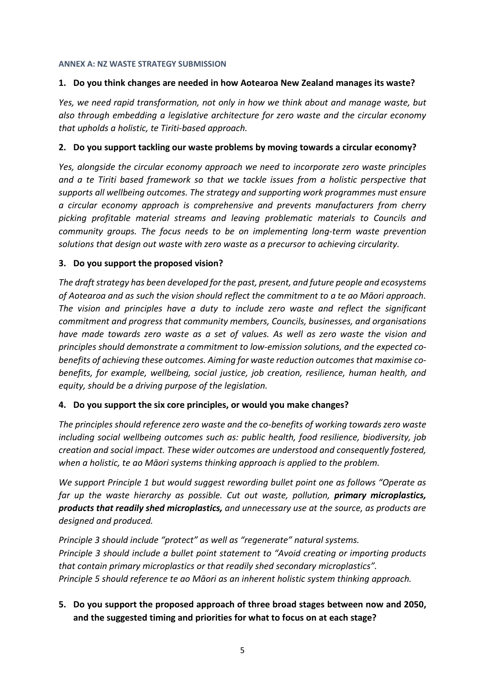#### **ANNEX A: NZ WASTE STRATEGY SUBMISSION**

#### **1. Do you think changes are needed in how Aotearoa New Zealand manages its waste?**

*Yes, we need rapid transformation, not only in how we think about and manage waste, but also through embedding a legislative architecture for zero waste and the circular economy that upholds a holistic, te Tiriti-based approach.* 

#### **2. Do you support tackling our waste problems by moving towards a circular economy?**

*Yes, alongside the circular economy approach we need to incorporate zero waste principles and a te Tiriti based framework so that we tackle issues from a holistic perspective that supports all wellbeing outcomes. The strategy and supporting work programmes must ensure a circular economy approach is comprehensive and prevents manufacturers from cherry picking profitable material streams and leaving problematic materials to Councils and community groups. The focus needs to be on implementing long-term waste prevention solutions that design out waste with zero waste as a precursor to achieving circularity.* 

#### **3. Do you support the proposed vision?**

*The draft strategy has been developed for the past, present, and future people and ecosystems of Aotearoa and as such the vision should reflect the commitment to a te ao Māori approach. The vision and principles have a duty to include zero waste and reflect the significant commitment and progress that community members, Councils, businesses, and organisations have made towards zero waste as a set of values. As well as zero waste the vision and principles should demonstrate a commitment to low-emission solutions, and the expected cobenefits of achieving these outcomes. Aiming for waste reduction outcomes that maximise cobenefits, for example, wellbeing, social justice, job creation, resilience, human health, and equity, should be a driving purpose of the legislation.*

#### **4. Do you support the six core principles, or would you make changes?**

*The principles should reference zero waste and the co-benefits of working towards zero waste including social wellbeing outcomes such as: public health, food resilience, biodiversity, job creation and social impact. These wider outcomes are understood and consequently fostered, when a holistic, te ao Māori systems thinking approach is applied to the problem.* 

*We support Principle 1 but would suggest rewording bullet point one as follows "Operate as far up the waste hierarchy as possible. Cut out waste, pollution, primary microplastics, products that readily shed microplastics, and unnecessary use at the source, as products are designed and produced.*

*Principle 3 should include "protect" as well as "regenerate" natural systems. Principle 3 should include a bullet point statement to "Avoid creating or importing products that contain primary microplastics or that readily shed secondary microplastics". Principle 5 should reference te ao Māori as an inherent holistic system thinking approach.* 

# **5. Do you support the proposed approach of three broad stages between now and 2050, and the suggested timing and priorities for what to focus on at each stage?**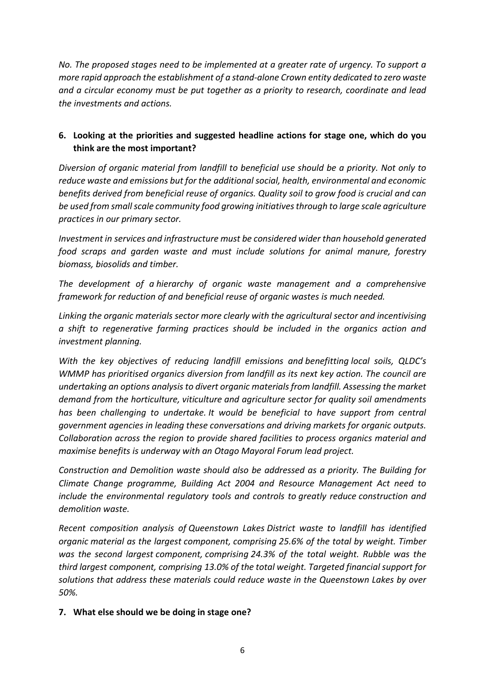*No. The proposed stages need to be implemented at a greater rate of urgency. To support a more rapid approach the establishment of a stand-alone Crown entity dedicated to zero waste and a circular economy must be put together as a priority to research, coordinate and lead the investments and actions.* 

## **6. Looking at the priorities and suggested headline actions for stage one, which do you think are the most important?**

*Diversion of organic material from landfill to beneficial use should be a priority. Not only to reduce waste and emissions but for the additional social, health, environmental and economic benefits derived from beneficial reuse of organics. Quality soil to grow food is crucial and can be used from small scale community food growing initiatives through to large scale agriculture practices in our primary sector.* 

*Investment in services and infrastructure must be considered wider than household generated food scraps and garden waste and must include solutions for animal manure, forestry biomass, biosolids and timber.* 

*The development of a hierarchy of organic waste management and a comprehensive framework for reduction of and beneficial reuse of organic wastes is much needed.* 

*Linking the organic materials sector more clearly with the agricultural sector and incentivising a shift to regenerative farming practices should be included in the organics action and investment planning.* 

*With the key objectives of reducing landfill emissions and benefitting local soils, QLDC's WMMP has prioritised organics diversion from landfill as its next key action. The council are undertaking an options analysis to divert organic materials from landfill. Assessing the market demand from the horticulture, viticulture and agriculture sector for quality soil amendments has been challenging to undertake. It would be beneficial to have support from central government agencies in leading these conversations and driving markets for organic outputs. Collaboration across the region to provide shared facilities to process organics material and maximise benefits is underway with an Otago Mayoral Forum lead project.* 

*Construction and Demolition waste should also be addressed as a priority. The Building for Climate Change programme, Building Act 2004 and Resource Management Act need to include the environmental regulatory tools and controls to greatly reduce construction and demolition waste.* 

*Recent composition analysis of Queenstown Lakes District waste to landfill has identified organic material as the largest component, comprising 25.6% of the total by weight. Timber was the second largest component, comprising 24.3% of the total weight. Rubble was the third largest component, comprising 13.0% of the total weight. Targeted financial support for solutions that address these materials could reduce waste in the Queenstown Lakes by over 50%.*

#### **7. What else should we be doing in stage one?**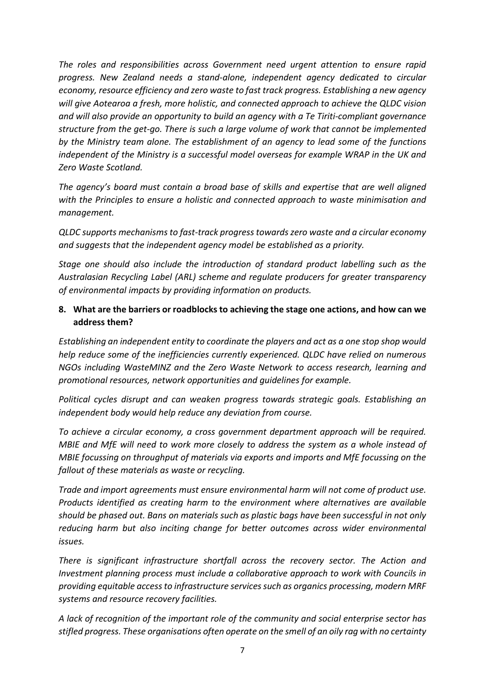*The roles and responsibilities across Government need urgent attention to ensure rapid progress. New Zealand needs a stand-alone, independent agency dedicated to circular economy, resource efficiency and zero waste to fast track progress. Establishing a new agency will give Aotearoa a fresh, more holistic, and connected approach to achieve the QLDC vision and will also provide an opportunity to build an agency with a Te Tiriti-compliant governance structure from the get-go. There is such a large volume of work that cannot be implemented by the Ministry team alone. The establishment of an agency to lead some of the functions independent of the Ministry is a successful model overseas for example WRAP in the UK and Zero Waste Scotland.* 

*The agency's board must contain a broad base of skills and expertise that are well aligned with the Principles to ensure a holistic and connected approach to waste minimisation and management.*

*QLDC supports mechanisms to fast-track progress towards zero waste and a circular economy and suggests that the independent agency model be established as a priority.* 

*Stage one should also include the introduction of standard product labelling such as the Australasian Recycling Label (ARL) scheme and regulate producers for greater transparency of environmental impacts by providing information on products.* 

#### **8. What are the barriers or roadblocks to achieving the stage one actions, and how can we address them?**

*Establishing an independent entity to coordinate the players and act as a one stop shop would help reduce some of the inefficiencies currently experienced. QLDC have relied on numerous NGOs including WasteMINZ and the Zero Waste Network to access research, learning and promotional resources, network opportunities and guidelines for example.* 

*Political cycles disrupt and can weaken progress towards strategic goals. Establishing an independent body would help reduce any deviation from course.* 

*To achieve a circular economy, a cross government department approach will be required. MBIE and MfE will need to work more closely to address the system as a whole instead of MBIE focussing on throughput of materials via exports and imports and MfE focussing on the fallout of these materials as waste or recycling.* 

*Trade and import agreements must ensure environmental harm will not come of product use. Products identified as creating harm to the environment where alternatives are available should be phased out. Bans on materials such as plastic bags have been successful in not only reducing harm but also inciting change for better outcomes across wider environmental issues.* 

*There is significant infrastructure shortfall across the recovery sector. The Action and Investment planning process must include a collaborative approach to work with Councils in providing equitable access to infrastructure services such as organics processing, modern MRF systems and resource recovery facilities.* 

*A lack of recognition of the important role of the community and social enterprise sector has stifled progress. These organisations often operate on the smell of an oily rag with no certainty*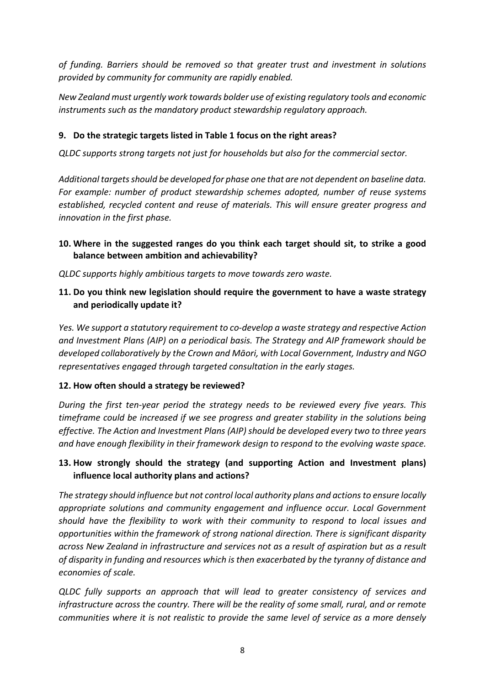*of funding. Barriers should be removed so that greater trust and investment in solutions provided by community for community are rapidly enabled.* 

*New Zealand must urgently work towards bolder use of existing regulatory tools and economic instruments such as the mandatory product stewardship regulatory approach.* 

## **9. Do the strategic targets listed in Table 1 focus on the right areas?**

*QLDC supports strong targets not just for households but also for the commercial sector.* 

*Additional targets should be developed for phase one that are not dependent on baseline data. For example: number of product stewardship schemes adopted, number of reuse systems established, recycled content and reuse of materials. This will ensure greater progress and innovation in the first phase.* 

#### **10. Where in the suggested ranges do you think each target should sit, to strike a good balance between ambition and achievability?**

*QLDC supports highly ambitious targets to move towards zero waste.* 

## **11. Do you think new legislation should require the government to have a waste strategy and periodically update it?**

*Yes. We support a statutory requirement to co-develop a waste strategy and respective Action and Investment Plans (AIP) on a periodical basis. The Strategy and AIP framework should be developed collaboratively by the Crown and Māori, with Local Government, Industry and NGO representatives engaged through targeted consultation in the early stages.*

## **12. How often should a strategy be reviewed?**

*During the first ten-year period the strategy needs to be reviewed every five years. This timeframe could be increased if we see progress and greater stability in the solutions being effective. The Action and Investment Plans (AIP) should be developed every two to three years and have enough flexibility in their framework design to respond to the evolving waste space.* 

# **13. How strongly should the strategy (and supporting Action and Investment plans) influence local authority plans and actions?**

*The strategy should influence but not control local authority plans and actions to ensure locally appropriate solutions and community engagement and influence occur. Local Government should have the flexibility to work with their community to respond to local issues and opportunities within the framework of strong national direction. There is significant disparity across New Zealand in infrastructure and services not as a result of aspiration but as a result of disparity in funding and resources which is then exacerbated by the tyranny of distance and economies of scale.* 

*QLDC fully supports an approach that will lead to greater consistency of services and infrastructure across the country. There will be the reality of some small, rural, and or remote communities where it is not realistic to provide the same level of service as a more densely*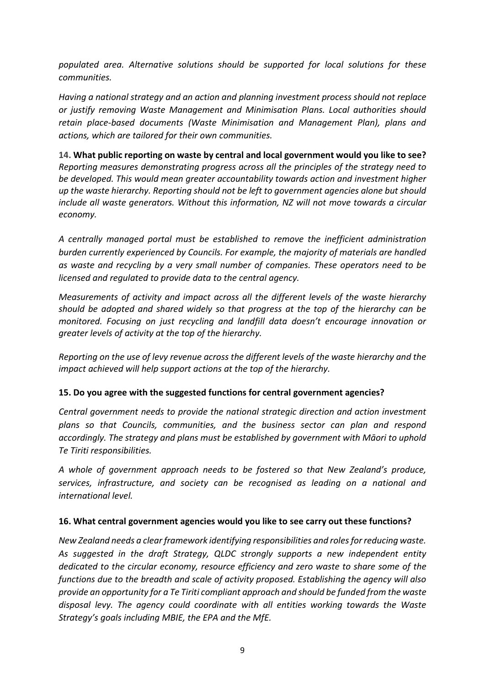*populated area. Alternative solutions should be supported for local solutions for these communities.* 

*Having a national strategy and an action and planning investment process should not replace or justify removing Waste Management and Minimisation Plans. Local authorities should retain place-based documents (Waste Minimisation and Management Plan), plans and actions, which are tailored for their own communities.*

**14. What public reporting on waste by central and local government would you like to see?** *Reporting measures demonstrating progress across all the principles of the strategy need to be developed. This would mean greater accountability towards action and investment higher up the waste hierarchy. Reporting should not be left to government agencies alone but should include all waste generators. Without this information, NZ will not move towards a circular economy.* 

*A centrally managed portal must be established to remove the inefficient administration burden currently experienced by Councils. For example, the majority of materials are handled as waste and recycling by a very small number of companies. These operators need to be licensed and regulated to provide data to the central agency.* 

*Measurements of activity and impact across all the different levels of the waste hierarchy should be adopted and shared widely so that progress at the top of the hierarchy can be monitored. Focusing on just recycling and landfill data doesn't encourage innovation or greater levels of activity at the top of the hierarchy.* 

*Reporting on the use of levy revenue across the different levels of the waste hierarchy and the impact achieved will help support actions at the top of the hierarchy.* 

## **15. Do you agree with the suggested functions for central government agencies?**

*Central government needs to provide the national strategic direction and action investment plans so that Councils, communities, and the business sector can plan and respond accordingly. The strategy and plans must be established by government with Māori to uphold Te Tiriti responsibilities.* 

*A whole of government approach needs to be fostered so that New Zealand's produce, services, infrastructure, and society can be recognised as leading on a national and international level.* 

#### **16. What central government agencies would you like to see carry out these functions?**

*New Zealand needs a clear framework identifying responsibilities and roles for reducing waste. As suggested in the draft Strategy, QLDC strongly supports a new independent entity dedicated to the circular economy, resource efficiency and zero waste to share some of the functions due to the breadth and scale of activity proposed. Establishing the agency will also provide an opportunity for a Te Tiriti compliant approach and should be funded from the waste disposal levy. The agency could coordinate with all entities working towards the Waste Strategy's goals including MBIE, the EPA and the MfE.*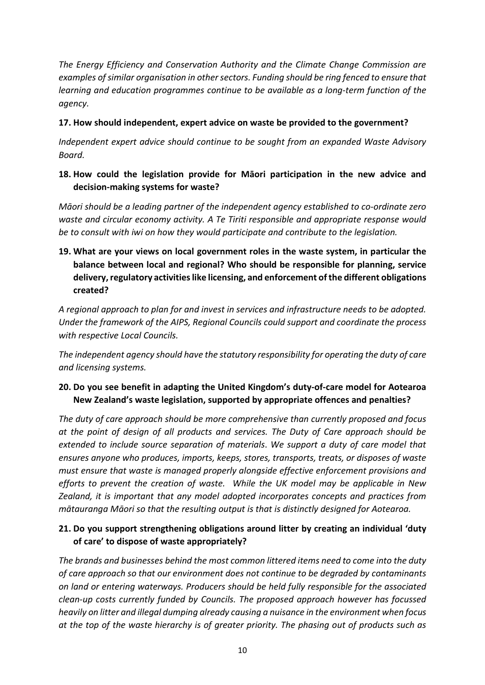*The Energy Efficiency and Conservation Authority and the Climate Change Commission are examples of similar organisation in other sectors. Funding should be ring fenced to ensure that learning and education programmes continue to be available as a long-term function of the agency.* 

#### **17. How should independent, expert advice on waste be provided to the government?**

*Independent expert advice should continue to be sought from an expanded Waste Advisory Board.*

## **18. How could the legislation provide for Māori participation in the new advice and decision-making systems for waste?**

*Māori should be a leading partner of the independent agency established to co-ordinate zero waste and circular economy activity. A Te Tiriti responsible and appropriate response would be to consult with iwi on how they would participate and contribute to the legislation.* 

**19. What are your views on local government roles in the waste system, in particular the balance between local and regional? Who should be responsible for planning, service delivery, regulatory activities like licensing, and enforcement of the different obligations created?**

*A regional approach to plan for and invest in services and infrastructure needs to be adopted. Under the framework of the AIPS, Regional Councils could support and coordinate the process with respective Local Councils.*

*The independent agency should have the statutory responsibility for operating the duty of care and licensing systems.* 

## **20. Do you see benefit in adapting the United Kingdom's duty-of-care model for Aotearoa New Zealand's waste legislation, supported by appropriate offences and penalties?**

*The duty of care approach should be more comprehensive than currently proposed and focus at the point of design of all products and services. The Duty of Care approach should be extended to include source separation of materials*. *We support a duty of care model that ensures anyone who produces, imports, keeps, stores, transports, treats, or disposes of waste must ensure that waste is managed properly alongside effective enforcement provisions and efforts to prevent the creation of waste. While the UK model may be applicable in New Zealand, it is important that any model adopted incorporates concepts and practices from mātauranga Māori so that the resulting output is that is distinctly designed for Aotearoa.*

## **21. Do you support strengthening obligations around litter by creating an individual 'duty of care' to dispose of waste appropriately?**

*The brands and businesses behind the most common littered items need to come into the duty of care approach so that our environment does not continue to be degraded by contaminants on land or entering waterways. Producers should be held fully responsible for the associated clean-up costs currently funded by Councils. The proposed approach however has focussed heavily on litter and illegal dumping already causing a nuisance in the environment when focus at the top of the waste hierarchy is of greater priority. The phasing out of products such as*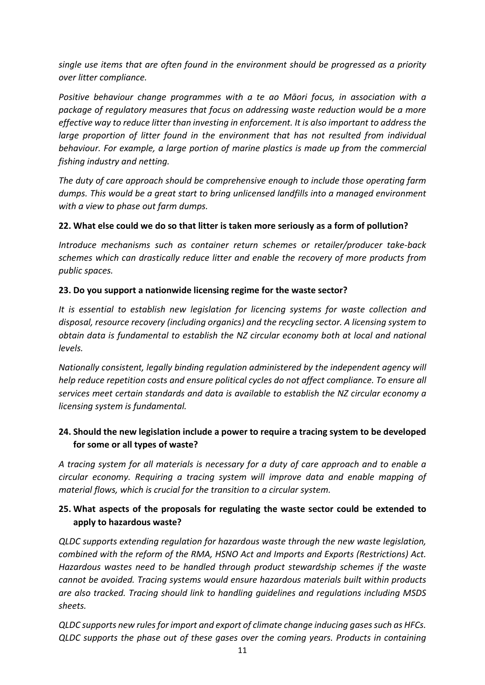*single use items that are often found in the environment should be progressed as a priority over litter compliance.*

*Positive behaviour change programmes with a te ao Māori focus, in association with a package of regulatory measures that focus on addressing waste reduction would be a more effective way to reduce litter than investing in enforcement. It is also important to address the* large proportion of litter found in the environment that has not resulted from individual *behaviour. For example, a large portion of marine plastics is made up from the commercial fishing industry and netting.* 

*The duty of care approach should be comprehensive enough to include those operating farm dumps. This would be a great start to bring unlicensed landfills into a managed environment with a view to phase out farm dumps.* 

#### **22. What else could we do so that litter is taken more seriously as a form of pollution?**

*Introduce mechanisms such as container return schemes or retailer/producer take-back schemes which can drastically reduce litter and enable the recovery of more products from public spaces.* 

#### **23. Do you support a nationwide licensing regime for the waste sector?**

*It is essential to establish new legislation for licencing systems for waste collection and disposal, resource recovery (including organics) and the recycling sector. A licensing system to obtain data is fundamental to establish the NZ circular economy both at local and national levels.* 

*Nationally consistent, legally binding regulation administered by the independent agency will help reduce repetition costs and ensure political cycles do not affect compliance. To ensure all services meet certain standards and data is available to establish the NZ circular economy a licensing system is fundamental.* 

## **24. Should the new legislation include a power to require a tracing system to be developed for some or all types of waste?**

*A tracing system for all materials is necessary for a duty of care approach and to enable a circular economy. Requiring a tracing system will improve data and enable mapping of material flows, which is crucial for the transition to a circular system.* 

## **25. What aspects of the proposals for regulating the waste sector could be extended to apply to hazardous waste?**

*QLDC supports extending regulation for hazardous waste through the new waste legislation, combined with the reform of the RMA, HSNO Act and Imports and Exports (Restrictions) Act. Hazardous wastes need to be handled through product stewardship schemes if the waste cannot be avoided. Tracing systems would ensure hazardous materials built within products are also tracked. Tracing should link to handling guidelines and regulations including MSDS sheets.*

*QLDC supports new rules for import and export of climate change inducing gases such as HFCs. QLDC supports the phase out of these gases over the coming years. Products in containing*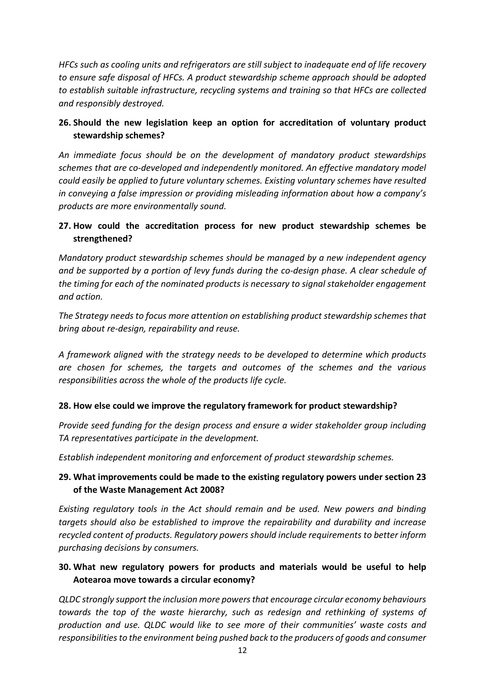*HFCs such as cooling units and refrigerators are still subject to inadequate end of life recovery to ensure safe disposal of HFCs. A product stewardship scheme approach should be adopted to establish suitable infrastructure, recycling systems and training so that HFCs are collected and responsibly destroyed.* 

## **26. Should the new legislation keep an option for accreditation of voluntary product stewardship schemes?**

*An immediate focus should be on the development of mandatory product stewardships schemes that are co-developed and independently monitored. An effective mandatory model could easily be applied to future voluntary schemes. Existing voluntary schemes have resulted in conveying a false impression or providing misleading information about how a company's products are more environmentally sound.*

## **27. How could the accreditation process for new product stewardship schemes be strengthened?**

*Mandatory product stewardship schemes should be managed by a new independent agency and be supported by a portion of levy funds during the co-design phase. A clear schedule of the timing for each of the nominated products is necessary to signal stakeholder engagement and action.* 

*The Strategy needs to focus more attention on establishing product stewardship schemes that bring about re-design, repairability and reuse.*

*A framework aligned with the strategy needs to be developed to determine which products are chosen for schemes, the targets and outcomes of the schemes and the various responsibilities across the whole of the products life cycle.*

## **28. How else could we improve the regulatory framework for product stewardship?**

*Provide seed funding for the design process and ensure a wider stakeholder group including TA representatives participate in the development.* 

*Establish independent monitoring and enforcement of product stewardship schemes.*

## **29. What improvements could be made to the existing regulatory powers under section 23 of the Waste Management Act 2008?**

*Existing regulatory tools in the Act should remain and be used. New powers and binding targets should also be established to improve the repairability and durability and increase recycled content of products. Regulatory powers should include requirements to better inform purchasing decisions by consumers.* 

# **30. What new regulatory powers for products and materials would be useful to help Aotearoa move towards a circular economy?**

*QLDC strongly support the inclusion more powers that encourage circular economy behaviours towards the top of the waste hierarchy, such as redesign and rethinking of systems of production and use. QLDC would like to see more of their communities' waste costs and responsibilities to the environment being pushed back to the producers of goods and consumer*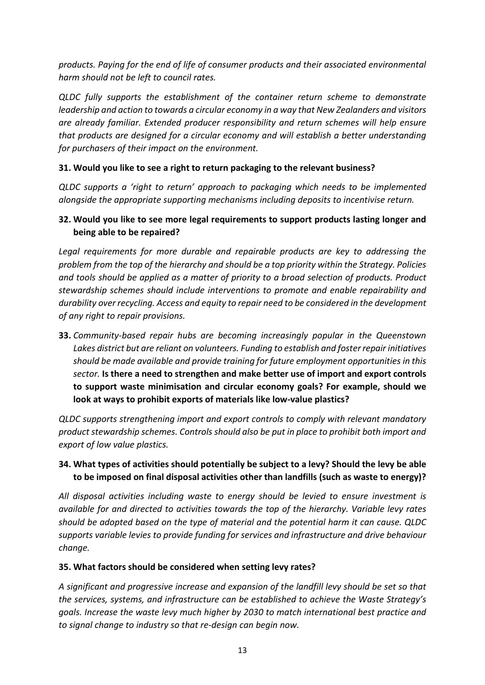*products. Paying for the end of life of consumer products and their associated environmental harm should not be left to council rates.* 

*QLDC fully supports the establishment of the container return scheme to demonstrate leadership and action to towards a circular economy in a way that New Zealanders and visitors are already familiar. Extended producer responsibility and return schemes will help ensure that products are designed for a circular economy and will establish a better understanding for purchasers of their impact on the environment.*

#### **31. Would you like to see a right to return packaging to the relevant business?**

*QLDC supports a 'right to return' approach to packaging which needs to be implemented alongside the appropriate supporting mechanisms including deposits to incentivise return.* 

#### **32. Would you like to see more legal requirements to support products lasting longer and being able to be repaired?**

*Legal requirements for more durable and repairable products are key to addressing the problem from the top of the hierarchy and should be a top priority within the Strategy. Policies and tools should be applied as a matter of priority to a broad selection of products. Product stewardship schemes should include interventions to promote and enable repairability and durability over recycling. Access and equity to repair need to be considered in the development of any right to repair provisions.* 

**33.** *Community-based repair hubs are becoming increasingly popular in the Queenstown Lakes district but are reliant on volunteers. Funding to establish and foster repair initiatives should be made available and provide training for future employment opportunities in this sector.* **Is there a need to strengthen and make better use of import and export controls to support waste minimisation and circular economy goals? For example, should we look at ways to prohibit exports of materials like low-value plastics?**

*QLDC supports strengthening import and export controls to comply with relevant mandatory product stewardship schemes. Controls should also be put in place to prohibit both import and export of low value plastics.* 

## **34. What types of activities should potentially be subject to a levy? Should the levy be able to be imposed on final disposal activities other than landfills (such as waste to energy)?**

*All disposal activities including waste to energy should be levied to ensure investment is available for and directed to activities towards the top of the hierarchy. Variable levy rates should be adopted based on the type of material and the potential harm it can cause. QLDC supports variable levies to provide funding for services and infrastructure and drive behaviour change.*

#### **35. What factors should be considered when setting levy rates?**

*A significant and progressive increase and expansion of the landfill levy should be set so that the services, systems, and infrastructure can be established to achieve the Waste Strategy's goals. Increase the waste levy much higher by 2030 to match international best practice and to signal change to industry so that re-design can begin now.*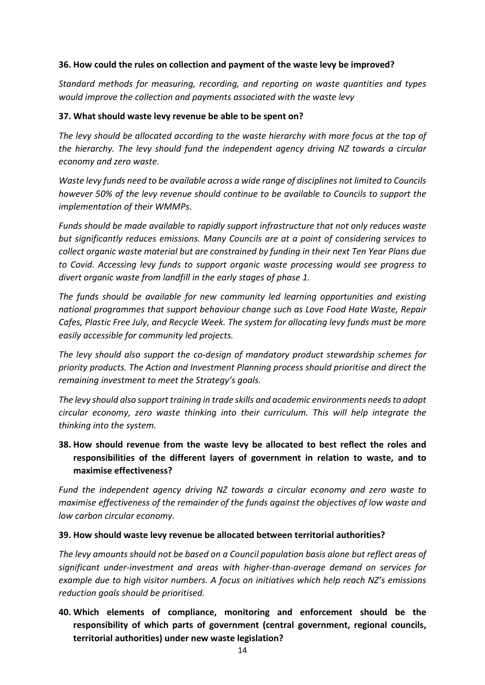#### **36. How could the rules on collection and payment of the waste levy be improved?**

*Standard methods for measuring, recording, and reporting on waste quantities and types would improve the collection and payments associated with the waste levy*

#### **37. What should waste levy revenue be able to be spent on?**

*The levy should be allocated according to the waste hierarchy with more focus at the top of the hierarchy. The levy should fund the independent agency driving NZ towards a circular economy and zero waste.* 

*Waste levy funds need to be available across a wide range of disciplines not limited to Councils however 50% of the levy revenue should continue to be available to Councils to support the implementation of their WMMPs.* 

*Funds should be made available to rapidly support infrastructure that not only reduces waste but significantly reduces emissions. Many Councils are at a point of considering services to collect organic waste material but are constrained by funding in their next Ten Year Plans due to Covid. Accessing levy funds to support organic waste processing would see progress to divert organic waste from landfill in the early stages of phase 1.*

*The funds should be available for new community led learning opportunities and existing national programmes that support behaviour change such as Love Food Hate Waste, Repair Cafes, Plastic Free July, and Recycle Week. The system for allocating levy funds must be more easily accessible for community led projects.* 

*The levy should also support the co-design of mandatory product stewardship schemes for priority products. The Action and Investment Planning process should prioritise and direct the remaining investment to meet the Strategy's goals.* 

*The levy should also support training in trade skills and academic environments needsto adopt circular economy, zero waste thinking into their curriculum. This will help integrate the thinking into the system.*

**38. How should revenue from the waste levy be allocated to best reflect the roles and responsibilities of the different layers of government in relation to waste, and to maximise effectiveness?** 

*Fund the independent agency driving NZ towards a circular economy and zero waste to maximise effectiveness of the remainder of the funds against the objectives of low waste and low carbon circular economy.*

#### **39. How should waste levy revenue be allocated between territorial authorities?**

*The levy amounts should not be based on a Council population basis alone but reflect areas of significant under-investment and areas with higher-than-average demand on services for example due to high visitor numbers. A focus on initiatives which help reach NZ's emissions reduction goals should be prioritised.* 

**40. Which elements of compliance, monitoring and enforcement should be the responsibility of which parts of government (central government, regional councils, territorial authorities) under new waste legislation?**